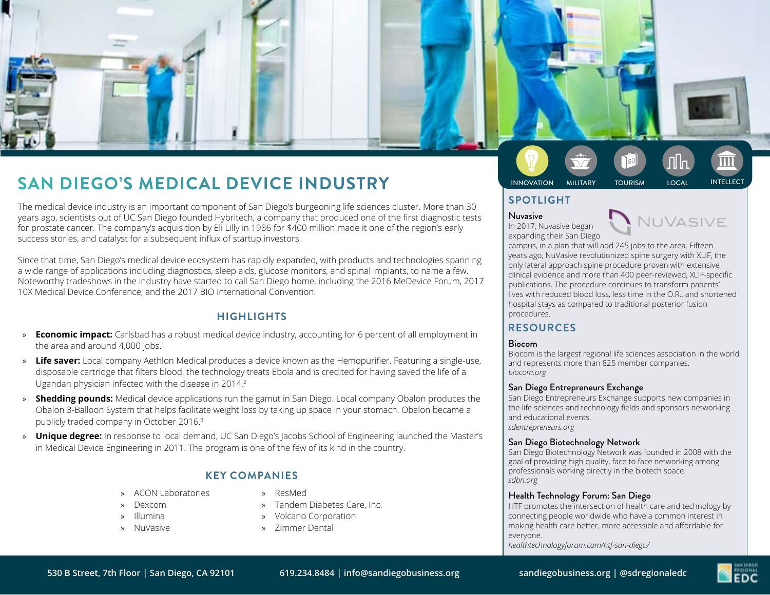

# **INNOVATION MILITARY DEGO'S MEDICAL DEVICE INDUSTRY SAN DIEGO'S MEDICAL INTELLECT INTELLECT**

The medical device industry is an important component of San Diego's burgeoning life sciences cluster. More than 30 years ago, scientists out of UC San Diego founded Hybritech, a company that produced one of the first diagnostic tests for prostate cancer. The company's acquisition by Eli Lilly in 1986 for \$400 million made it one of the region's early success stories, and catalyst for a subsequent influx of startup investors.

Since that time, San Diego's medical device ecosystem has rapidly expanded, with products and technologies spanning a wide range of applications including diagnostics, sleep aids, glucose monitors, and spinal implants, to name a few. Noteworthy tradeshows in the industry have started to call San Diego home, including the 2016 MeDevice Forum, 2017 10X Medical Device Conference, and the 2017 BIO International Convention.

## **HIGHLIGHTS**

- **Economic impact:** Carlsbad has a robust medical device industry, accounting for 6 percent of all employment in the area and around 4,000 jobs.<sup>1</sup>
- » **Life saver:** Local company Aethlon Medical produces a device known as the Hemopurifier. Featuring a single-use, disposable cartridge that filters blood, the technology treats Ebola and is credited for having saved the life of a Ugandan physician infected with the disease in 2014.2
- » **Shedding pounds:** Medical device applications run the gamut in San Diego. Local company Obalon produces the Obalon 3-Balloon System that helps facilitate weight loss by taking up space in your stomach. Obalon became a publicly traded company in October 2016.<sup>3</sup>
- » **Unique degree:** In response to local demand, UC San Diego's Jacobs School of Engineering launched the Master's in Medical Device Engineering in 2011. The program is one of the few of its kind in the country.

## **KEY COMPANIES**

- » ACON Laboratories
- » Dexcom
- » Illumina
- » NuVasive
- » ResMed
- » Tandem Diabetes Care, Inc.
- » Volcano Corporation
- » Zimmer Dental

## **SPOTLIGHT**

#### Nuvasive In 2017, Nuvasive began



expanding their San Diego campus, in a plan that will add 245 jobs to the area. Fifteen years ago, NuVasive revolutionized spine surgery with XLIF, the only lateral approach spine procedure proven with extensive clinical evidence and more than 400 peer-reviewed, XLIF-specific publications. The procedure continues to transform patients' lives with reduced blood loss, less time in the O.R., and shortened hospital stays as compared to traditional posterior fusion procedures.

## **RESOURCES**

#### Biocom

Biocom is the largest regional life sciences association in the world and represents more than 825 member companies. *biocom.org*

#### San Diego Entrepreneurs Exchange

San Diego Entrepreneurs Exchange supports new companies in the life sciences and technology fields and sponsors networking and educational events. *sdentrepreneurs.org*

#### San Diego Biotechnology Network

San Diego Biotechnology Network was founded in 2008 with the goal of providing high quality, face to face networking among professionals working directly in the biotech space. *sdbn.org*

#### Health Technology Forum: San Diego

HTF promotes the intersection of health care and technology by connecting people worldwide who have a common interest in making health care better, more accessible and affordable for everyone.

*healthtechnologyforum.com/htf-san-diego/*